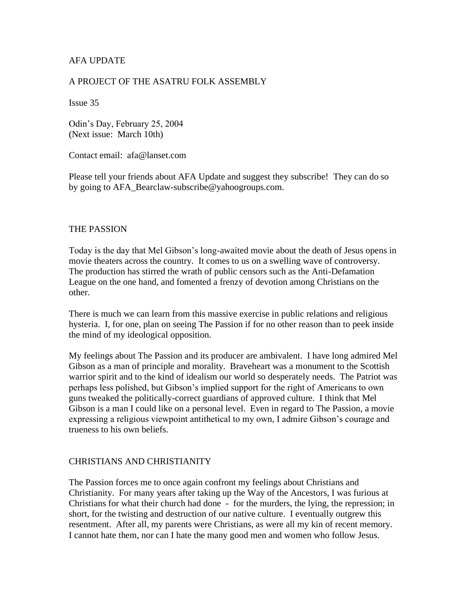# AFA UPDATE

## A PROJECT OF THE ASATRU FOLK ASSEMBLY

Issue 35

Odin's Day, February 25, 2004 (Next issue: March 10th)

Contact email: afa@lanset.com

Please tell your friends about AFA Update and suggest they subscribe! They can do so by going to AFA\_Bearclaw-subscribe@yahoogroups.com.

#### THE PASSION

Today is the day that Mel Gibson's long-awaited movie about the death of Jesus opens in movie theaters across the country. It comes to us on a swelling wave of controversy. The production has stirred the wrath of public censors such as the Anti-Defamation League on the one hand, and fomented a frenzy of devotion among Christians on the other.

There is much we can learn from this massive exercise in public relations and religious hysteria. I, for one, plan on seeing The Passion if for no other reason than to peek inside the mind of my ideological opposition.

My feelings about The Passion and its producer are ambivalent. I have long admired Mel Gibson as a man of principle and morality. Braveheart was a monument to the Scottish warrior spirit and to the kind of idealism our world so desperately needs. The Patriot was perhaps less polished, but Gibson's implied support for the right of Americans to own guns tweaked the politically-correct guardians of approved culture. I think that Mel Gibson is a man I could like on a personal level. Even in regard to The Passion, a movie expressing a religious viewpoint antithetical to my own, I admire Gibson's courage and trueness to his own beliefs.

## CHRISTIANS AND CHRISTIANITY

The Passion forces me to once again confront my feelings about Christians and Christianity. For many years after taking up the Way of the Ancestors, I was furious at Christians for what their church had done - for the murders, the lying, the repression; in short, for the twisting and destruction of our native culture. I eventually outgrew this resentment. After all, my parents were Christians, as were all my kin of recent memory. I cannot hate them, nor can I hate the many good men and women who follow Jesus.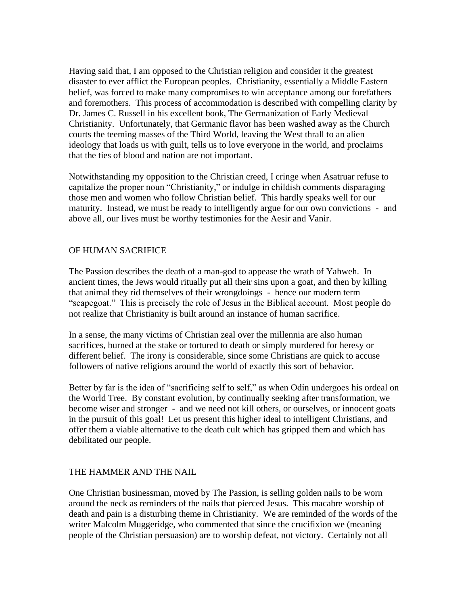Having said that, I am opposed to the Christian religion and consider it the greatest disaster to ever afflict the European peoples. Christianity, essentially a Middle Eastern belief, was forced to make many compromises to win acceptance among our forefathers and foremothers. This process of accommodation is described with compelling clarity by Dr. James C. Russell in his excellent book, The Germanization of Early Medieval Christianity. Unfortunately, that Germanic flavor has been washed away as the Church courts the teeming masses of the Third World, leaving the West thrall to an alien ideology that loads us with guilt, tells us to love everyone in the world, and proclaims that the ties of blood and nation are not important.

Notwithstanding my opposition to the Christian creed, I cringe when Asatruar refuse to capitalize the proper noun "Christianity," or indulge in childish comments disparaging those men and women who follow Christian belief. This hardly speaks well for our maturity. Instead, we must be ready to intelligently argue for our own convictions - and above all, our lives must be worthy testimonies for the Aesir and Vanir.

## OF HUMAN SACRIFICE

The Passion describes the death of a man-god to appease the wrath of Yahweh. In ancient times, the Jews would ritually put all their sins upon a goat, and then by killing that animal they rid themselves of their wrongdoings - hence our modern term "scapegoat." This is precisely the role of Jesus in the Biblical account. Most people do not realize that Christianity is built around an instance of human sacrifice.

In a sense, the many victims of Christian zeal over the millennia are also human sacrifices, burned at the stake or tortured to death or simply murdered for heresy or different belief. The irony is considerable, since some Christians are quick to accuse followers of native religions around the world of exactly this sort of behavior.

Better by far is the idea of "sacrificing self to self," as when Odin undergoes his ordeal on the World Tree. By constant evolution, by continually seeking after transformation, we become wiser and stronger - and we need not kill others, or ourselves, or innocent goats in the pursuit of this goal! Let us present this higher ideal to intelligent Christians, and offer them a viable alternative to the death cult which has gripped them and which has debilitated our people.

## THE HAMMER AND THE NAIL

One Christian businessman, moved by The Passion, is selling golden nails to be worn around the neck as reminders of the nails that pierced Jesus. This macabre worship of death and pain is a disturbing theme in Christianity. We are reminded of the words of the writer Malcolm Muggeridge, who commented that since the crucifixion we (meaning people of the Christian persuasion) are to worship defeat, not victory. Certainly not all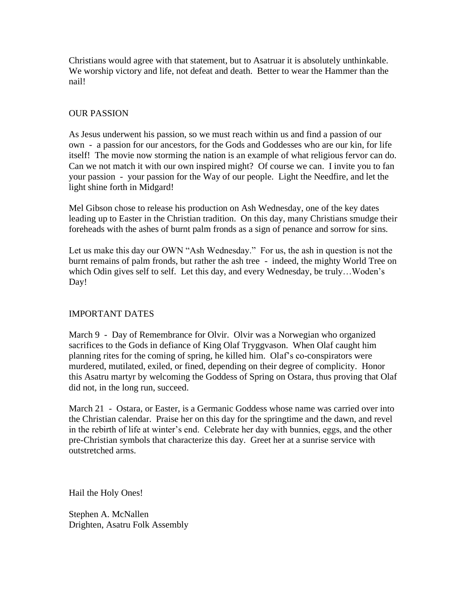Christians would agree with that statement, but to Asatruar it is absolutely unthinkable. We worship victory and life, not defeat and death. Better to wear the Hammer than the nail!

# OUR PASSION

As Jesus underwent his passion, so we must reach within us and find a passion of our own - a passion for our ancestors, for the Gods and Goddesses who are our kin, for life itself! The movie now storming the nation is an example of what religious fervor can do. Can we not match it with our own inspired might? Of course we can. I invite you to fan your passion - your passion for the Way of our people. Light the Needfire, and let the light shine forth in Midgard!

Mel Gibson chose to release his production on Ash Wednesday, one of the key dates leading up to Easter in the Christian tradition. On this day, many Christians smudge their foreheads with the ashes of burnt palm fronds as a sign of penance and sorrow for sins.

Let us make this day our OWN "Ash Wednesday." For us, the ash in question is not the burnt remains of palm fronds, but rather the ash tree - indeed, the mighty World Tree on which Odin gives self to self. Let this day, and every Wednesday, be truly…Woden's Day!

## IMPORTANT DATES

March 9 - Day of Remembrance for Olvir. Olvir was a Norwegian who organized sacrifices to the Gods in defiance of King Olaf Tryggvason. When Olaf caught him planning rites for the coming of spring, he killed him. Olaf's co-conspirators were murdered, mutilated, exiled, or fined, depending on their degree of complicity. Honor this Asatru martyr by welcoming the Goddess of Spring on Ostara, thus proving that Olaf did not, in the long run, succeed.

March 21 - Ostara, or Easter, is a Germanic Goddess whose name was carried over into the Christian calendar. Praise her on this day for the springtime and the dawn, and revel in the rebirth of life at winter's end. Celebrate her day with bunnies, eggs, and the other pre-Christian symbols that characterize this day. Greet her at a sunrise service with outstretched arms.

Hail the Holy Ones!

Stephen A. McNallen Drighten, Asatru Folk Assembly